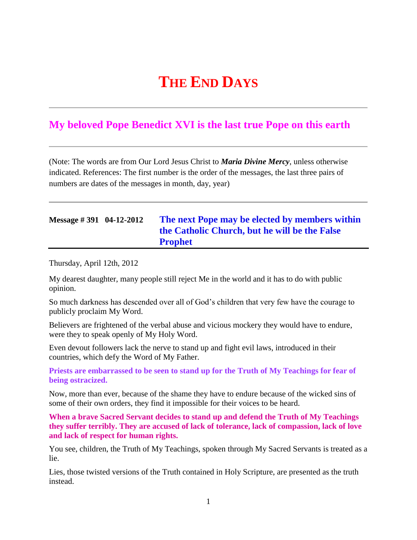# **THE END DAYS**

## **My beloved Pope Benedict XVI is the last true Pope on this earth**

(Note: The words are from Our Lord Jesus Christ to *Maria Divine Mercy*, unless otherwise indicated. References: The first number is the order of the messages, the last three pairs of numbers are dates of the messages in month, day, year)

## **Message # 391 04-12-2012 [The next Pope may be elected by members within](http://www.thewarningsecondcoming.com/the-next-pope-may-be-elected-by-members-within-the-catholic-church-but-he-will-be-the-false-prophet/)  the Catholic Church, [but he will be the False](http://www.thewarningsecondcoming.com/the-next-pope-may-be-elected-by-members-within-the-catholic-church-but-he-will-be-the-false-prophet/)  [Prophet](http://www.thewarningsecondcoming.com/the-next-pope-may-be-elected-by-members-within-the-catholic-church-but-he-will-be-the-false-prophet/)**

Thursday, April 12th, 2012

My dearest daughter, many people still reject Me in the world and it has to do with public opinion.

So much darkness has descended over all of God's children that very few have the courage to publicly proclaim My Word.

Believers are frightened of the verbal abuse and vicious mockery they would have to endure, were they to speak openly of My Holy Word.

Even devout followers lack the nerve to stand up and fight evil laws, introduced in their countries, which defy the Word of My Father.

**Priests are embarrassed to be seen to stand up for the Truth of My Teachings for fear of being ostracized.**

Now, more than ever, because of the shame they have to endure because of the wicked sins of some of their own orders, they find it impossible for their voices to be heard.

**When a brave Sacred Servant decides to stand up and defend the Truth of My Teachings they suffer terribly. They are accused of lack of tolerance, lack of compassion, lack of love and lack of respect for human rights.**

You see, children, the Truth of My Teachings, spoken through My Sacred Servants is treated as a lie.

Lies, those twisted versions of the Truth contained in Holy Scripture, are presented as the truth instead.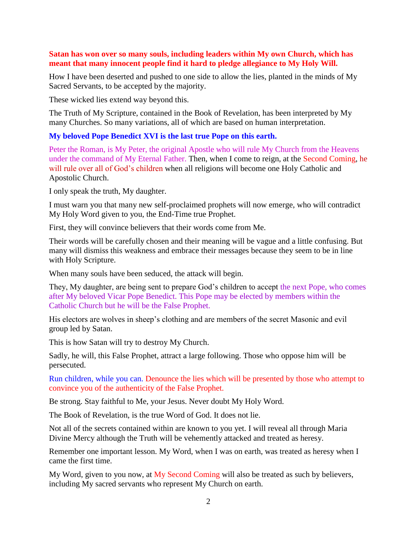#### **Satan has won over so many souls, including leaders within My own Church, which has meant that many innocent people find it hard to pledge allegiance to My Holy Will.**

How I have been deserted and pushed to one side to allow the lies, planted in the minds of My Sacred Servants, to be accepted by the majority.

These wicked lies extend way beyond this.

The Truth of My Scripture, contained in the Book of Revelation, has been interpreted by My many Churches. So many variations, all of which are based on human interpretation.

### **My beloved Pope Benedict XVI is the last true Pope on this earth.**

Peter the Roman, is My Peter, the original Apostle who will rule My Church from the Heavens under the command of My Eternal Father. Then, when I come to reign, at the Second Coming, he will rule over all of God's children when all religions will become one Holy Catholic and Apostolic Church.

I only speak the truth, My daughter.

I must warn you that many new self-proclaimed prophets will now emerge, who will contradict My Holy Word given to you, the End-Time true Prophet.

First, they will convince believers that their words come from Me.

Their words will be carefully chosen and their meaning will be vague and a little confusing. But many will dismiss this weakness and embrace their messages because they seem to be in line with Holy Scripture.

When many souls have been seduced, the attack will begin.

They, My daughter, are being sent to prepare God's children to accept the next Pope, who comes after My beloved Vicar Pope Benedict. This Pope may be elected by members within the Catholic Church but he will be the False Prophet.

His electors are wolves in sheep's clothing and are members of the secret Masonic and evil group led by Satan.

This is how Satan will try to destroy My Church.

Sadly, he will, this False Prophet, attract a large following. Those who oppose him will be persecuted.

Run children, while you can. Denounce the lies which will be presented by those who attempt to convince you of the authenticity of the False Prophet.

Be strong. Stay faithful to Me, your Jesus. Never doubt My Holy Word.

The Book of Revelation, is the true Word of God. It does not lie.

Not all of the secrets contained within are known to you yet. I will reveal all through Maria Divine Mercy although the Truth will be vehemently attacked and treated as heresy.

Remember one important lesson. My Word, when I was on earth, was treated as heresy when I came the first time.

My Word, given to you now, at  $My$  Second Coming will also be treated as such by believers, including My sacred servants who represent My Church on earth.